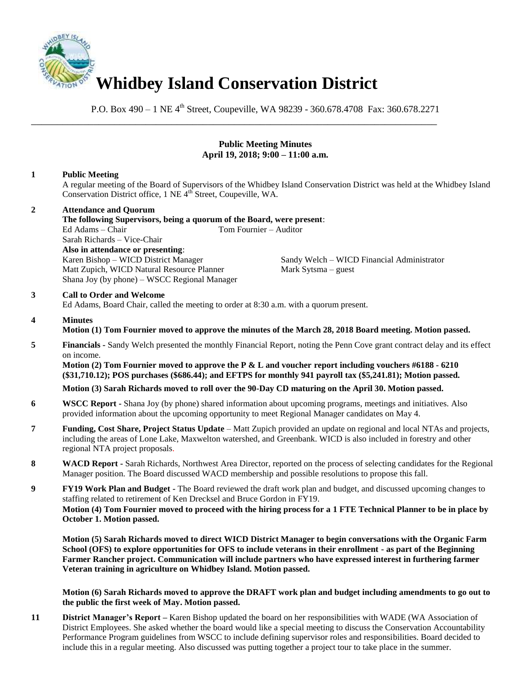

P.O. Box 490 – 1 NE 4<sup>th</sup> Street, Coupeville, WA 98239 - 360.678.4708 Fax: 360.678.2271

# **Public Meeting Minutes April 19, 2018; 9:00 – 11:00 a.m.**

# **1 Public Meeting**

A regular meeting of the Board of Supervisors of the Whidbey Island Conservation District was held at the Whidbey Island Conservation District office, 1 NE 4<sup>th</sup> Street, Coupeville, WA.

### **2 Attendance and Quorum**

**The following Supervisors, being a quorum of the Board, were present**: Ed Adams – Chair Tom Fournier – Auditor Sarah Richards – Vice-Chair **Also in attendance or presenting**: Karen Bishop – WICD District Manager Sandy Welch – WICD Financial Administrator Matt Zupich, WICD Natural Resource Planner Mark Sytsma – guest Shana Joy (by phone) – WSCC Regional Manager

\_\_\_\_\_\_\_\_\_\_\_\_\_\_\_\_\_\_\_\_\_\_\_\_\_\_\_\_\_\_\_\_\_\_\_\_\_\_\_\_\_\_\_\_\_\_\_\_\_\_\_\_\_\_\_\_\_\_\_\_\_\_\_\_\_\_\_\_\_\_\_\_\_\_\_\_\_\_

### **3 Call to Order and Welcome**

Ed Adams, Board Chair, called the meeting to order at 8:30 a.m. with a quorum present.

### **4 Minutes Motion (1) Tom Fournier moved to approve the minutes of the March 28, 2018 Board meeting. Motion passed.**

**5 Financials -** Sandy Welch presented the monthly Financial Report, noting the Penn Cove grant contract delay and its effect on income.

**Motion (2) Tom Fournier moved to approve the P & L and voucher report including vouchers #6188 - 6210 (\$31,710.12); POS purchases (\$686.44); and EFTPS for monthly 941 payroll tax (\$5,241.81); Motion passed.** 

# **Motion (3) Sarah Richards moved to roll over the 90-Day CD maturing on the April 30. Motion passed.**

- **6 WSCC Report -** Shana Joy (by phone) shared information about upcoming programs, meetings and initiatives. Also provided information about the upcoming opportunity to meet Regional Manager candidates on May 4.
- **7 Funding, Cost Share, Project Status Update** Matt Zupich provided an update on regional and local NTAs and projects, including the areas of Lone Lake, Maxwelton watershed, and Greenbank. WICD is also included in forestry and other regional NTA project proposals.
- **8 WACD Report -** Sarah Richards, Northwest Area Director, reported on the process of selecting candidates for the Regional Manager position. The Board discussed WACD membership and possible resolutions to propose this fall.

**9 FY19 Work Plan and Budget -** The Board reviewed the draft work plan and budget, and discussed upcoming changes to staffing related to retirement of Ken Drecksel and Bruce Gordon in FY19. **Motion (4) Tom Fournier moved to proceed with the hiring process for a 1 FTE Technical Planner to be in place by October 1. Motion passed.**

**Motion (5) Sarah Richards moved to direct WICD District Manager to begin conversations with the Organic Farm School (OFS) to explore opportunities for OFS to include veterans in their enrollment - as part of the Beginning Farmer Rancher project. Communication will include partners who have expressed interest in furthering farmer Veteran training in agriculture on Whidbey Island. Motion passed.** 

**Motion (6) Sarah Richards moved to approve the DRAFT work plan and budget including amendments to go out to the public the first week of May. Motion passed.**

**11 District Manager's Report –** Karen Bishop updated the board on her responsibilities with WADE (WA Association of District Employees. She asked whether the board would like a special meeting to discuss the Conservation Accountability Performance Program guidelines from WSCC to include defining supervisor roles and responsibilities. Board decided to include this in a regular meeting. Also discussed was putting together a project tour to take place in the summer.